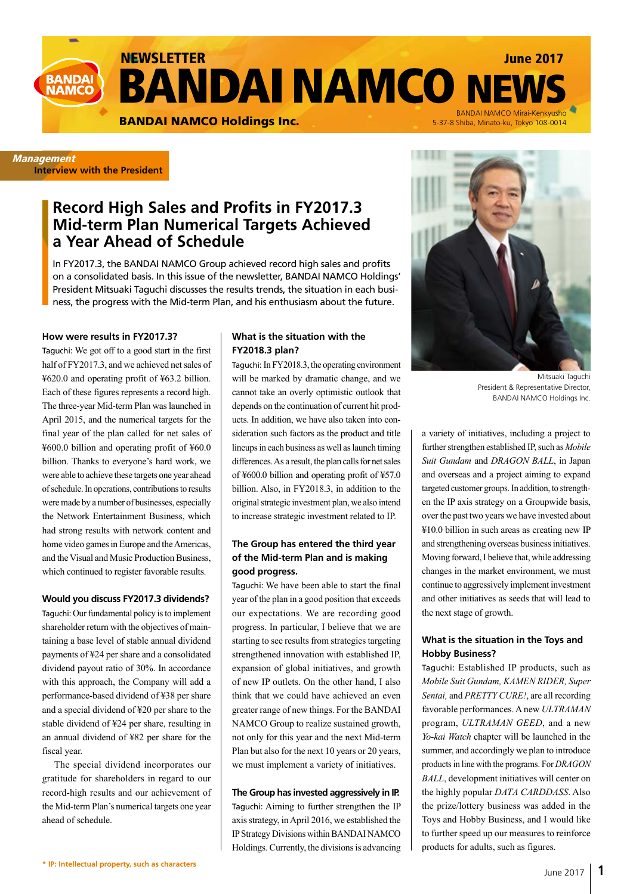

**Management Interview with the President**

# **Record High Sales and Profits in FY2017.3 Mid-term Plan Numerical Targets Achieved a Year Ahead of Schedule**

In FY2017.3, the BANDAI NAMCO Group achieved record high sales and profits on a consolidated basis. In this issue of the newsletter, BANDAI NAMCO Holdings' President Mitsuaki Taguchi discusses the results trends, the situation in each business, the progress with the Mid-term Plan, and his enthusiasm about the future.

#### **How were results in FY2017.3?**

Taguchi: We got off to a good start in the first half of FY2017.3, and we achieved net sales of ¥620.0 and operating profit of ¥63.2 billion. Each of these figures represents a record high. The three-year Mid-term Plan was launched in April 2015, and the numerical targets for the final year of the plan called for net sales of ¥600.0 billion and operating profit of ¥60.0 billion. Thanks to everyone's hard work, we were able to achieve these targets one year ahead of schedule. In operations, contributions to results were made by a number of businesses, especially the Network Entertainment Business, which had strong results with network content and home video games in Europe and the Americas, and the Visual and Music Production Business, which continued to register favorable results.

### **Would you discuss FY2017.3 dividends?**

Taguchi: Our fundamental policy is to implement shareholder return with the objectives of maintaining a base level of stable annual dividend payments of ¥24 per share and a consolidated dividend payout ratio of 30%. In accordance with this approach, the Company will add a performance-based dividend of ¥38 per share and a special dividend of ¥20 per share to the stable dividend of ¥24 per share, resulting in an annual dividend of ¥82 per share for the fiscal year.

The special dividend incorporates our gratitude for shareholders in regard to our record-high results and our achievement of the Mid-term Plan's numerical targets one year ahead of schedule.

### **What is the situation with the FY2018.3 plan?**

Taguchi: In FY2018.3, the operating environment will be marked by dramatic change, and we cannot take an overly optimistic outlook that depends on the continuation of current hit products. In addition, we have also taken into consideration such factors as the product and title lineups in each business as well as launch timing differences. As a result, the plan calls for net sales of ¥600.0 billion and operating profit of ¥57.0 billion. Also, in FY2018.3, in addition to the original strategic investment plan, we also intend to increase strategic investment related to IP.

### **The Group has entered the third year of the Mid-term Plan and is making good progress.**

Taguchi: We have been able to start the final year of the plan in a good position that exceeds our expectations. We are recording good progress. In particular, I believe that we are starting to see results from strategies targeting strengthened innovation with established IP, expansion of global initiatives, and growth of new IP outlets. On the other hand, I also think that we could have achieved an even greater range of new things. For the BANDAI NAMCO Group to realize sustained growth, not only for this year and the next Mid-term Plan but also for the next 10 years or 20 years, we must implement a variety of initiatives.

#### **The Group has invested aggressively in IP.**

Taguchi: Aiming to further strengthen the IP axis strategy, in April 2016, we established the IP Strategy Divisions within BANDAI NAMCO Holdings. Currently, the divisions is advancing



Mitsuaki Taguchi President & Representative Director, BANDAI NAMCO Holdings Inc.

a variety of initiatives, including a project to further strengthen established IP, such as *Mobile Suit Gundam* and *DRAGON BALL*, in Japan and overseas and a project aiming to expand targeted customer groups. In addition, to strengthen the IP axis strategy on a Groupwide basis, over the past two years we have invested about ¥10.0 billion in such areas as creating new IP and strengthening overseas business initiatives. Moving forward, I believe that, while addressing changes in the market environment, we must continue to aggressively implement investment and other initiatives as seeds that will lead to the next stage of growth.

### **What is the situation in the Toys and Hobby Business?**

Taguchi: Established IP products, such as *Mobile Suit Gundam, KAMEN RIDER, Super Sentai,* and *PRETTY CURE!*, are all recording favorable performances. A new *ULTRAMAN* program, *ULTRAMAN GEED*, and a new *Yo-kai Watch* chapter will be launched in the summer, and accordingly we plan to introduce products in line with the programs. For *DRAGON BALL*, development initiatives will center on the highly popular *DATA CARDDASS*. Also the prize/lottery business was added in the Toys and Hobby Business, and I would like to further speed up our measures to reinforce products for adults, such as figures.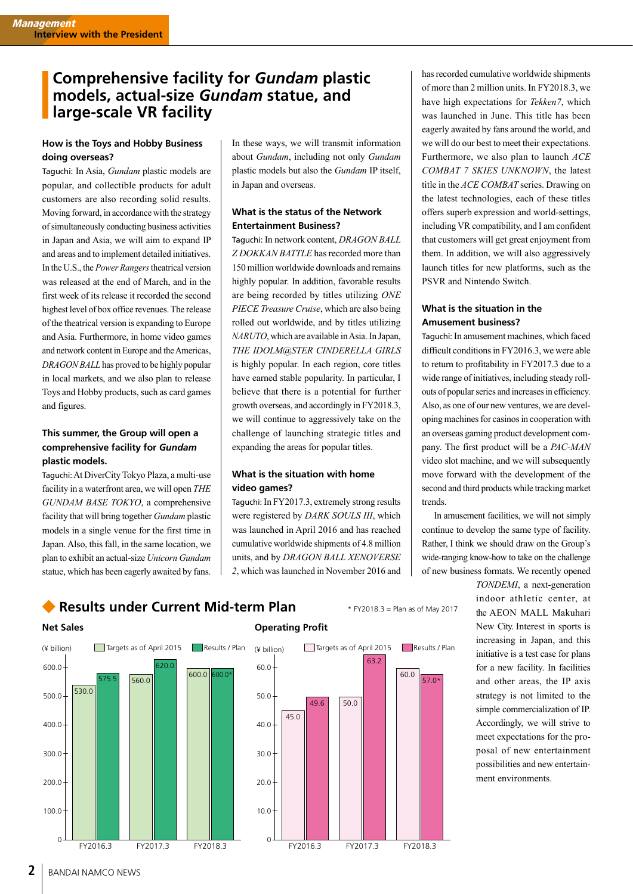## **Comprehensive facility for** *Gundam* **plastic models, actual-size** *Gundam* **statue, and large-scale VR facility**

#### **How is the Toys and Hobby Business doing overseas?**

Taguchi: In Asia, *Gundam* plastic models are popular, and collectible products for adult customers are also recording solid results. Moving forward, in accordance with the strategy of simultaneously conducting business activities in Japan and Asia, we will aim to expand IP and areas and to implement detailed initiatives. In the U.S., the *Power Rangers* theatrical version was released at the end of March, and in the first week of its release it recorded the second highest level of box office revenues. The release of the theatrical version is expanding to Europe and Asia. Furthermore, in home video games and network content in Europe and the Americas, *DRAGON BALL* has proved to be highly popular in local markets, and we also plan to release Toys and Hobby products, such as card games and figures.

### **This summer, the Group will open a comprehensive facility for** *Gundam* **plastic models.**

Taguchi: At DiverCity Tokyo Plaza, a multi-use facility in a waterfront area, we will open *THE GUNDAM BASE TOKYO*, a comprehensive facility that will bring together *Gundam* plastic models in a single venue for the first time in Japan. Also, this fall, in the same location, we plan to exhibit an actual-size *Unicorn Gundam* statue, which has been eagerly awaited by fans.

In these ways, we will transmit information about *Gundam*, including not only *Gundam* plastic models but also the *Gundam* IP itself, in Japan and overseas.

## **What is the status of the Network Entertainment Business?**

Taguchi: In network content, *DRAGON BALL Z DOKKAN BATTLE* has recorded more than 150 million worldwide downloads and remains highly popular. In addition, favorable results are being recorded by titles utilizing *ONE PIECE Treasure Cruise*, which are also being rolled out worldwide, and by titles utilizing *NARUTO*, which are available in Asia. In Japan, *THE IDOLM@STER CINDERELLA GIRLS* is highly popular. In each region, core titles have earned stable popularity. In particular, I believe that there is a potential for further growth overseas, and accordingly in FY2018.3, we will continue to aggressively take on the challenge of launching strategic titles and expanding the areas for popular titles.

### **What is the situation with home video games?**

Taguchi: In FY2017.3, extremely strong results were registered by *DARK SOULS III*, which was launched in April 2016 and has reached cumulative worldwide shipments of 4.8 million units, and by *DRAGON BALL XENOVERSE 2*, which was launched in November 2016 and

has recorded cumulative worldwide shipments of more than 2 million units. In FY2018.3, we have high expectations for *Tekken7*, which was launched in June. This title has been eagerly awaited by fans around the world, and we will do our best to meet their expectations. Furthermore, we also plan to launch *ACE COMBAT 7 SKIES UNKNOWN*, the latest title in the *ACE COMBAT* series. Drawing on the latest technologies, each of these titles offers superb expression and world-settings, including VR compatibility, and I am confident that customers will get great enjoyment from them. In addition, we will also aggressively launch titles for new platforms, such as the PSVR and Nintendo Switch.

## **What is the situation in the Amusement business?**

Taguchi: In amusement machines, which faced difficult conditions in FY2016.3, we were able to return to profitability in FY2017.3 due to a wide range of initiatives, including steady rollouts of popular series and increases in efficiency. Also, as one of our new ventures, we are developing machines for casinos in cooperation with an overseas gaming product development company. The first product will be a *PAC-MAN* video slot machine, and we will subsequently move forward with the development of the second and third products while tracking market trends.

In amusement facilities, we will not simply continue to develop the same type of facility. Rather, I think we should draw on the Group's wide-ranging know-how to take on the challenge of new business formats. We recently opened

*TONDEMI*, a next-generation indoor athletic center, at the AEON MALL Makuhari New City. Interest in sports is increasing in Japan, and this initiative is a test case for plans for a new facility. In facilities and other areas, the IP axis strategy is not limited to the simple commercialization of IP. Accordingly, we will strive to meet expectations for the proposal of new entertainment possibilities and new entertainment environments.

## **Results under Current Mid-term Plan** \* FY2018.3 = Plan as of May 2017





## **Operating Profit**



**2** BANDAI NAMCO NEWS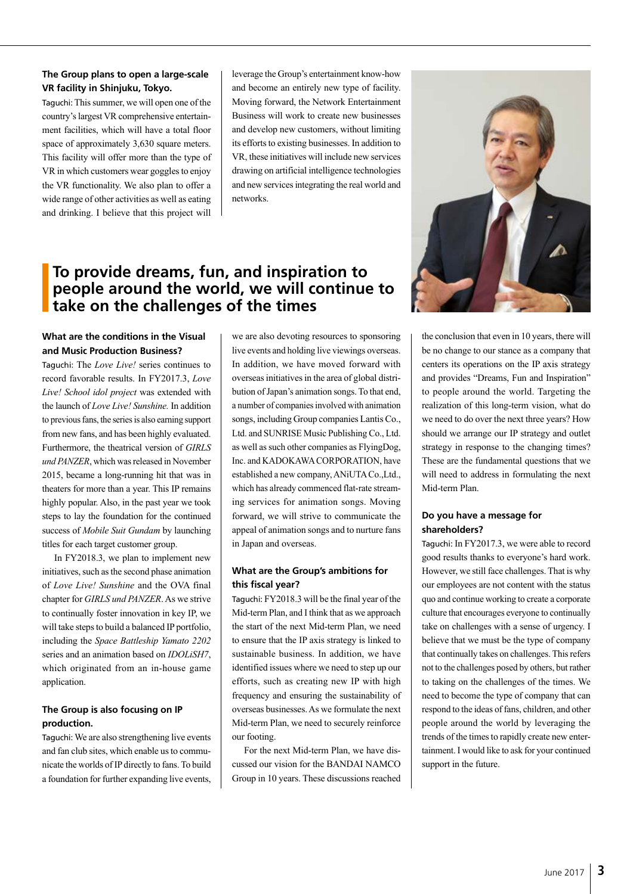### **The Group plans to open a large-scale VR facility in Shinjuku, Tokyo.**

Taguchi: This summer, we will open one of the country's largest VR comprehensive entertainment facilities, which will have a total floor space of approximately 3,630 square meters. This facility will offer more than the type of VR in which customers wear goggles to enjoy the VR functionality. We also plan to offer a wide range of other activities as well as eating and drinking. I believe that this project will

leverage the Group's entertainment know-how and become an entirely new type of facility. Moving forward, the Network Entertainment Business will work to create new businesses and develop new customers, without limiting its efforts to existing businesses. In addition to VR, these initiatives will include new services drawing on artificial intelligence technologies and new services integrating the real world and networks.

# **To provide dreams, fun, and inspiration to people around the world, we will continue to take on the challenges of the times**

## **What are the conditions in the Visual and Music Production Business?**

Taguchi: The *Love Live!* series continues to record favorable results. In FY2017.3, *Love Live! School idol project* was extended with the launch of *Love Live! Sunshine.* In addition to previous fans, the series is also earning support from new fans, and has been highly evaluated. Furthermore, the theatrical version of *GIRLS und PANZER*, which was released in November 2015, became a long-running hit that was in theaters for more than a year. This IP remains highly popular. Also, in the past year we took steps to lay the foundation for the continued success of *Mobile Suit Gundam* by launching titles for each target customer group.

In FY2018.3, we plan to implement new initiatives, such as the second phase animation of *Love Live! Sunshine* and the OVA final chapter for *GIRLS und PANZER*. As we strive to continually foster innovation in key IP, we will take steps to build a balanced IP portfolio, including the *Space Battleship Yamato 2202* series and an animation based on *IDOLiSH7*, which originated from an in-house game application.

## **The Group is also focusing on IP production.**

Taguchi: We are also strengthening live events and fan club sites, which enable us to communicate the worlds of IP directly to fans. To build a foundation for further expanding live events,

we are also devoting resources to sponsoring live events and holding live viewings overseas. In addition, we have moved forward with overseas initiatives in the area of global distribution of Japan's animation songs. To that end, a number of companies involved with animation songs, including Group companies Lantis Co., Ltd. and SUNRISE Music Publishing Co., Ltd. as well as such other companies as FlyingDog, Inc. and KADOKAWA CORPORATION, have established a new company, ANiUTA Co.,Ltd., which has already commenced flat-rate streaming services for animation songs. Moving forward, we will strive to communicate the appeal of animation songs and to nurture fans in Japan and overseas.

## **What are the Group's ambitions for this fiscal year?**

Taguchi: FY2018.3 will be the final year of the Mid-term Plan, and I think that as we approach the start of the next Mid-term Plan, we need to ensure that the IP axis strategy is linked to sustainable business. In addition, we have identified issues where we need to step up our efforts, such as creating new IP with high frequency and ensuring the sustainability of overseas businesses. As we formulate the next Mid-term Plan, we need to securely reinforce our footing.

For the next Mid-term Plan, we have discussed our vision for the BANDAI NAMCO Group in 10 years. These discussions reached



the conclusion that even in 10 years, there will be no change to our stance as a company that centers its operations on the IP axis strategy and provides "Dreams, Fun and Inspiration" to people around the world. Targeting the realization of this long-term vision, what do we need to do over the next three years? How should we arrange our IP strategy and outlet strategy in response to the changing times? These are the fundamental questions that we will need to address in formulating the next Mid-term Plan.

### **Do you have a message for shareholders?**

Taguchi: In FY2017.3, we were able to record good results thanks to everyone's hard work. However, we still face challenges. That is why our employees are not content with the status quo and continue working to create a corporate culture that encourages everyone to continually take on challenges with a sense of urgency. I believe that we must be the type of company that continually takes on challenges. This refers not to the challenges posed by others, but rather to taking on the challenges of the times. We need to become the type of company that can respond to the ideas of fans, children, and other people around the world by leveraging the trends of the times to rapidly create new entertainment. I would like to ask for your continued support in the future.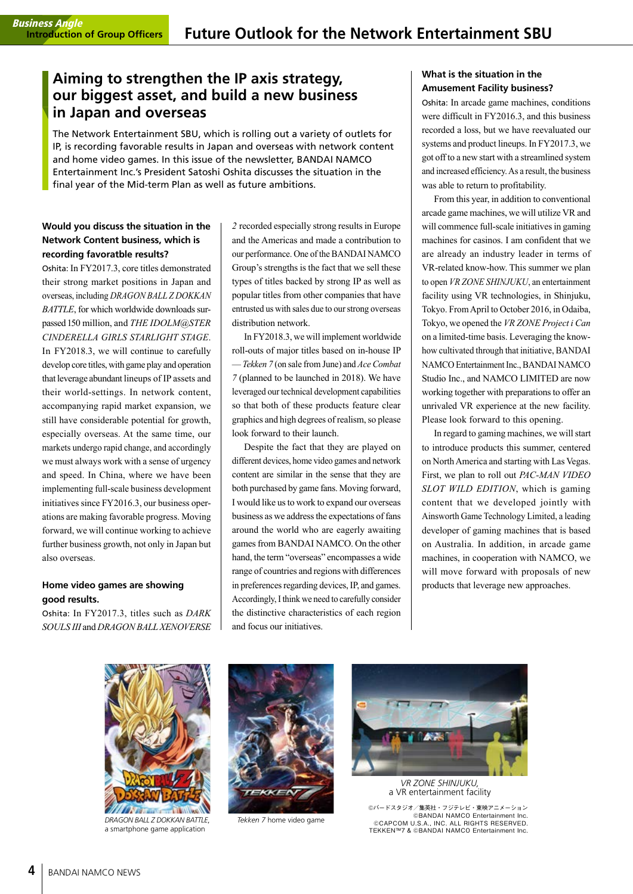## **Aiming to strengthen the IP axis strategy, our biggest asset, and build a new business in Japan and overseas**

The Network Entertainment SBU, which is rolling out a variety of outlets for IP, is recording favorable results in Japan and overseas with network content and home video games. In this issue of the newsletter, BANDAI NAMCO Entertainment Inc.'s President Satoshi Oshita discusses the situation in the final year of the Mid-term Plan as well as future ambitions.

## **Would you discuss the situation in the Network Content business, which is recording favoratble results?**

Oshita: In FY2017.3, core titles demonstrated their strong market positions in Japan and overseas, including *DRAGON BALL Z DOKKAN BATTLE*, for which worldwide downloads surpassed 150 million, and *THE IDOLM@STER CINDERELLA GIRLS STARLIGHT STAGE*. In FY2018.3, we will continue to carefully develop core titles, with game play and operation that leverage abundant lineups of IP assets and their world-settings. In network content, accompanying rapid market expansion, we still have considerable potential for growth, especially overseas. At the same time, our markets undergo rapid change, and accordingly we must always work with a sense of urgency and speed. In China, where we have been implementing full-scale business development initiatives since FY2016.3, our business operations are making favorable progress. Moving forward, we will continue working to achieve further business growth, not only in Japan but also overseas.

## **Home video games are showing good results.**

Oshita: In FY2017.3, titles such as *DARK SOULS III* and *DRAGON BALL XENOVERSE* 

*2* recorded especially strong results in Europe and the Americas and made a contribution to our performance. One of the BANDAI NAMCO Group's strengths is the fact that we sell these types of titles backed by strong IP as well as popular titles from other companies that have entrusted us with sales due to our strong overseas distribution network.

In FY2018.3, we will implement worldwide roll-outs of major titles based on in-house IP — *Tekken 7* (on sale from June) and *Ace Combat 7* (planned to be launched in 2018). We have leveraged our technical development capabilities so that both of these products feature clear graphics and high degrees of realism, so please look forward to their launch.

Despite the fact that they are played on different devices, home video games and network content are similar in the sense that they are both purchased by game fans. Moving forward, I would like us to work to expand our overseas business as we address the expectations of fans around the world who are eagerly awaiting games from BANDAI NAMCO. On the other hand, the term "overseas" encompasses a wide range of countries and regions with differences in preferences regarding devices, IP, and games. Accordingly, I think we need to carefully consider the distinctive characteristics of each region and focus our initiatives.

## **What is the situation in the Amusement Facility business?**

Oshita: In arcade game machines, conditions were difficult in FY2016.3, and this business recorded a loss, but we have reevaluated our systems and product lineups. In FY2017.3, we got off to a new start with a streamlined system and increased efficiency. As a result, the business was able to return to profitability.

From this year, in addition to conventional arcade game machines, we will utilize VR and will commence full-scale initiatives in gaming machines for casinos. I am confident that we are already an industry leader in terms of VR-related know-how. This summer we plan to open *VR ZONE SHINJUKU*, an entertainment facility using VR technologies, in Shinjuku, Tokyo. From April to October 2016, in Odaiba, Tokyo, we opened the *VR ZONE Project i Can* on a limited-time basis. Leveraging the knowhow cultivated through that initiative, BANDAI NAMCO Entertainment Inc., BANDAI NAMCO Studio Inc., and NAMCO LIMITED are now working together with preparations to offer an unrivaled VR experience at the new facility. Please look forward to this opening.

In regard to gaming machines, we will start to introduce products this summer, centered on North America and starting with Las Vegas. First, we plan to roll out *PAC-MAN VIDEO SLOT WILD EDITION*, which is gaming content that we developed jointly with Ainsworth Game Technology Limited, a leading developer of gaming machines that is based on Australia. In addition, in arcade game machines, in cooperation with NAMCO, we will move forward with proposals of new products that leverage new approaches.



*DRAGON BALL Z DOKKAN BATTLE*, a smartphone game application



*Tekken 7* home video game



*VR ZONE SHINJUKU,* a VR entertainment facility

©バードスタジオ/集英社・フジテレビ・東映アニメーション ©BANDAI NAMCO Entertainment Inc. ©CAPCOM U.S.A., INC. ALL RIGHTS RESERVED. TEKKEN™7 & ©BANDAI NAMCO Entertainment Inc.